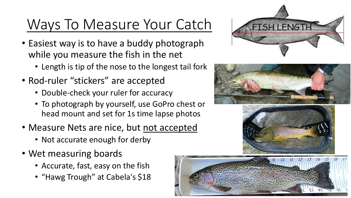## Ways To Measure Your Catch

- Easiest way is to have a buddy photograph while you measure the fish in the net
	- Length is tip of the nose to the longest tail fork
- Rod-ruler "stickers" are accepted
	- Double-check your ruler for accuracy
	- To photograph by yourself, use GoPro chest or head mount and set for 1s time lapse photos
- Measure Nets are nice, but not accepted
	- Not accurate enough for derby
- Wet measuring boards
	- Accurate, fast, easy on the fish
	- "Hawg Trough" at Cabela's \$18







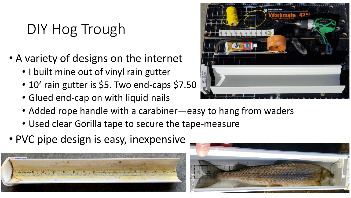## DIY Hog Trough

- A variety of designs on the internet
	- I built mine out of vinyl rain gutter
	- 10' rain gutter is \$5. Two end-caps \$7.50
	- Glued end-cap on with liquid nails
	- Added rope handle with a carabiner—easy to hang from waders
	- Used clear Gorilla tape to secure the tape-measure
- PVC pipe design is easy, inexpensive





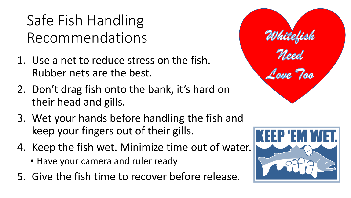Safe Fish Handling Recommendations

- 1. Use a net to reduce stress on the fish. Rubber nets are the best.
- 2. Don't drag fish onto the bank, it's hard on their head and gills.
- 3. Wet your hands before handling the fish and keep your fingers out of their gills.
- 4. Keep the fish wet. Minimize time out of water.
	- Have your camera and ruler ready
- 5. Give the fish time to recover before release.